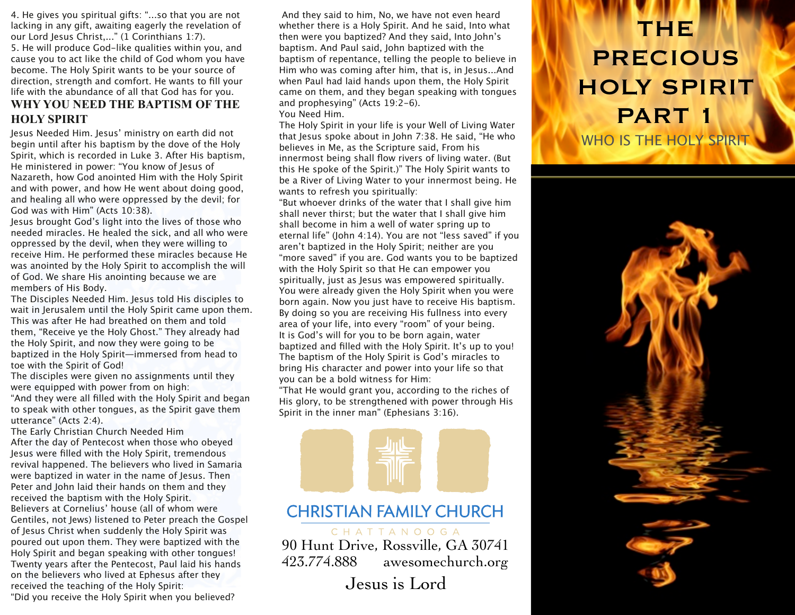4. He gives you spiritual gifts: "...so that you are not lacking in any gift, awaiting eagerly the revelation of our Lord Jesus Christ,..." (1 Corinthians 1:7). 5. He will produce God-like qualities within you, and cause you to act like the child of God whom you have become. The Holy Spirit wants to be your source of direction, strength and comfort. He wants to fill your life with the abundance of all that God has for you. **WHY YOU NEED THE BAPTISM OF THE HOLY SPIRIT**

Jesus Needed Him. Jesus' ministry on earth did not begin until after his baptism by the dove of the Holy Spirit, which is recorded in Luke 3. After His baptism, He ministered in power: "You know of Jesus of Nazareth, how God anointed Him with the Holy Spirit and with power, and how He went about doing good, and healing all who were oppressed by the devil; for God was with Him" (Acts 10:38).

Jesus brought God's light into the lives of those who needed miracles. He healed the sick, and all who were oppressed by the devil, when they were willing to receive Him. He performed these miracles because He was anointed by the Holy Spirit to accomplish the will of God. We share His anointing because we are members of His Body.

The Disciples Needed Him. Jesus told His disciples to wait in Jerusalem until the Holy Spirit came upon them. This was after He had breathed on them and told them, "Receive ye the Holy Ghost." They already had the Holy Spirit, and now they were going to be baptized in the Holy Spirit—immersed from head to toe with the Spirit of God!

The disciples were given no assignments until they were equipped with power from on high:

"And they were all filled with the Holy Spirit and began to speak with other tongues, as the Spirit gave them utterance" (Acts 2:4).

The Early Christian Church Needed Him After the day of Pentecost when those who obeyed Jesus were filled with the Holy Spirit, tremendous revival happened. The believers who lived in Samaria were baptized in water in the name of Jesus. Then Peter and John laid their hands on them and they received the baptism with the Holy Spirit. Believers at Cornelius' house (all of whom were Gentiles, not Jews) listened to Peter preach the Gospel of Jesus Christ when suddenly the Holy Spirit was poured out upon them. They were baptized with the Holy Spirit and began speaking with other tongues! Twenty years after the Pentecost, Paul laid his hands on the believers who lived at Ephesus after they received the teaching of the Holy Spirit: "Did you receive the Holy Spirit when you believed?

 And they said to him, No, we have not even heard whether there is a Holy Spirit. And he said, Into what then were you baptized? And they said, Into John's baptism. And Paul said, John baptized with the baptism of repentance, telling the people to believe in Him who was coming after him, that is, in Jesus...And when Paul had laid hands upon them, the Holy Spirit came on them, and they began speaking with tongues and prophesying" (Acts 19:2-6).

You Need Him.

The Holy Spirit in your life is your Well of Living Water that Jesus spoke about in John 7:38. He said, "He who believes in Me, as the Scripture said, From his innermost being shall flow rivers of living water. (But this He spoke of the Spirit.)" The Holy Spirit wants to be a River of Living Water to your innermost being. He wants to refresh you spiritually:

"But whoever drinks of the water that I shall give him shall never thirst; but the water that I shall give him shall become in him a well of water spring up to eternal life" (John 4:14). You are not "less saved" if you aren't baptized in the Holy Spirit; neither are you "more saved" if you are. God wants you to be baptized with the Holy Spirit so that He can empower you spiritually, just as Jesus was empowered spiritually. You were already given the Holy Spirit when you were born again. Now you just have to receive His baptism. By doing so you are receiving His fullness into every area of your life, into every "room" of your being. It is God's will for you to be born again, water baptized and filled with the Holy Spirit. It's up to you! The baptism of the Holy Spirit is God's miracles to bring His character and power into your life so that you can be a bold witness for Him:

"That He would grant you, according to the riches of His glory, to be strengthened with power through His Spirit in the inner man" (Ephesians 3:16).



### **CHRISTIAN FAMILY CHURCH**

CHATTANOOGA

90 Hunt Drive, Rossville, GA 30741 423.774.888 awesomechurch.org

Jesus is Lord

## THE PRECIOUS HOLY SPIRIT PART 1 WHO IS THE HOLY SPIRIT